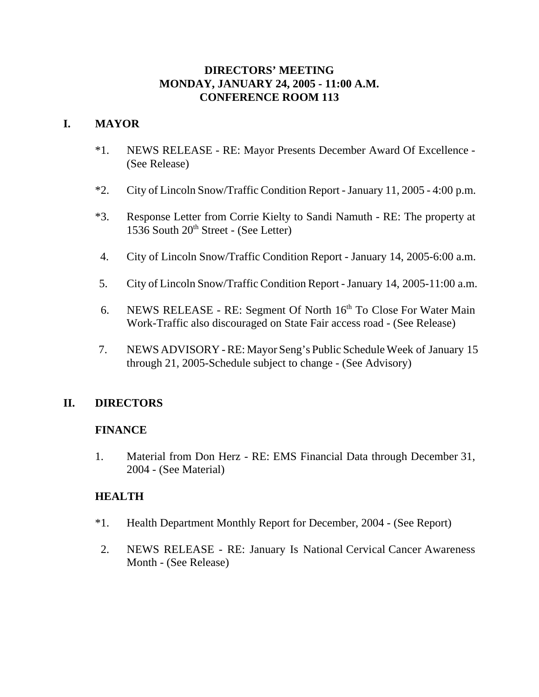## **DIRECTORS' MEETING MONDAY, JANUARY 24, 2005 - 11:00 A.M. CONFERENCE ROOM 113**

# **I. MAYOR**

- \*1. NEWS RELEASE RE: Mayor Presents December Award Of Excellence (See Release)
- \*2. City of Lincoln Snow/Traffic Condition Report January 11, 2005 4:00 p.m.
- \*3. Response Letter from Corrie Kielty to Sandi Namuth RE: The property at 1536 South 20<sup>th</sup> Street - (See Letter)
- 4. City of Lincoln Snow/Traffic Condition Report January 14, 2005-6:00 a.m.
- 5. City of Lincoln Snow/Traffic Condition Report January 14, 2005-11:00 a.m.
- 6. NEWS RELEASE RE: Segment Of North  $16<sup>th</sup>$  To Close For Water Main Work-Traffic also discouraged on State Fair access road - (See Release)
- 7. NEWS ADVISORY RE: Mayor Seng's Public Schedule Week of January 15 through 21, 2005-Schedule subject to change - (See Advisory)

## **II. DIRECTORS**

#### **FINANCE**

1. Material from Don Herz - RE: EMS Financial Data through December 31, 2004 - (See Material)

#### **HEALTH**

- \*1. Health Department Monthly Report for December, 2004 (See Report)
- 2. NEWS RELEASE RE: January Is National Cervical Cancer Awareness Month - (See Release)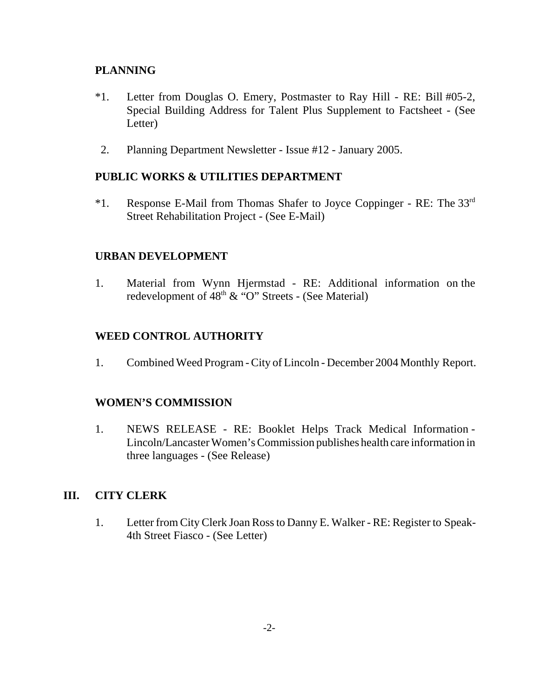## **PLANNING**

- \*1. Letter from Douglas O. Emery, Postmaster to Ray Hill RE: Bill #05-2, Special Building Address for Talent Plus Supplement to Factsheet - (See Letter)
- 2. Planning Department Newsletter Issue #12 January 2005.

### **PUBLIC WORKS & UTILITIES DEPARTMENT**

 $*1.$  Response E-Mail from Thomas Shafer to Joyce Coppinger - RE: The 33<sup>rd</sup> Street Rehabilitation Project - (See E-Mail)

#### **URBAN DEVELOPMENT**

1. Material from Wynn Hjermstad - RE: Additional information on the redevelopment of  $48<sup>th</sup> \& ^{\circ}$  "O" Streets - (See Material)

### **WEED CONTROL AUTHORITY**

1. Combined Weed Program - City of Lincoln - December 2004 Monthly Report.

## **WOMEN'S COMMISSION**

1. NEWS RELEASE - RE: Booklet Helps Track Medical Information - Lincoln/Lancaster Women's Commission publishes health care information in three languages - (See Release)

#### **III. CITY CLERK**

1. Letter from City Clerk Joan Ross to Danny E. Walker - RE: Register to Speak-4th Street Fiasco - (See Letter)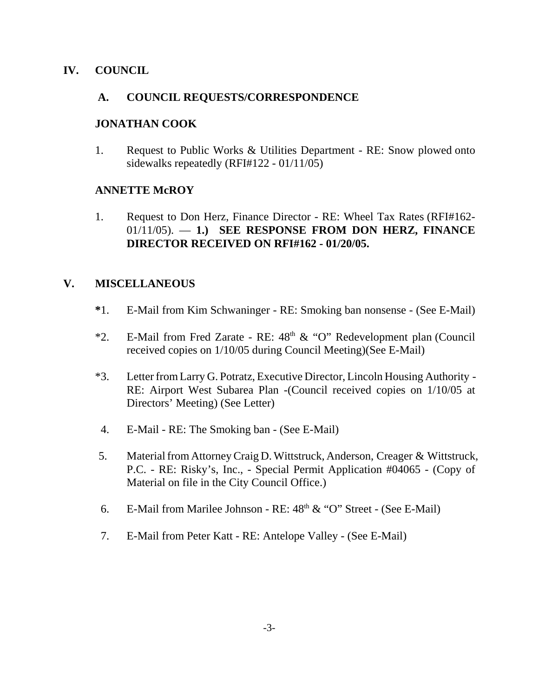### **IV. COUNCIL**

### **A. COUNCIL REQUESTS/CORRESPONDENCE**

### **JONATHAN COOK**

1. Request to Public Works & Utilities Department - RE: Snow plowed onto sidewalks repeatedly (RFI#122 - 01/11/05)

### **ANNETTE McROY**

1. Request to Don Herz, Finance Director - RE: Wheel Tax Rates (RFI#162- 01/11/05). — **1.) SEE RESPONSE FROM DON HERZ, FINANCE DIRECTOR RECEIVED ON RFI#162 - 01/20/05.** 

## **V. MISCELLANEOUS**

- **\***1. E-Mail from Kim Schwaninger RE: Smoking ban nonsense (See E-Mail)
- \*2. E-Mail from Fred Zarate RE:  $48<sup>th</sup>$  & "O" Redevelopment plan (Council received copies on 1/10/05 during Council Meeting)(See E-Mail)
- \*3. Letter from Larry G. Potratz, Executive Director, Lincoln Housing Authority RE: Airport West Subarea Plan -(Council received copies on 1/10/05 at Directors' Meeting) (See Letter)
- 4. E-Mail RE: The Smoking ban (See E-Mail)
- 5. Material from Attorney Craig D. Wittstruck, Anderson, Creager & Wittstruck, P.C. - RE: Risky's, Inc., - Special Permit Application #04065 - (Copy of Material on file in the City Council Office.)
- 6. E-Mail from Marilee Johnson RE:  $48<sup>th</sup> \& ^{\circ}$  'O'' Street (See E-Mail)
- 7. E-Mail from Peter Katt RE: Antelope Valley (See E-Mail)